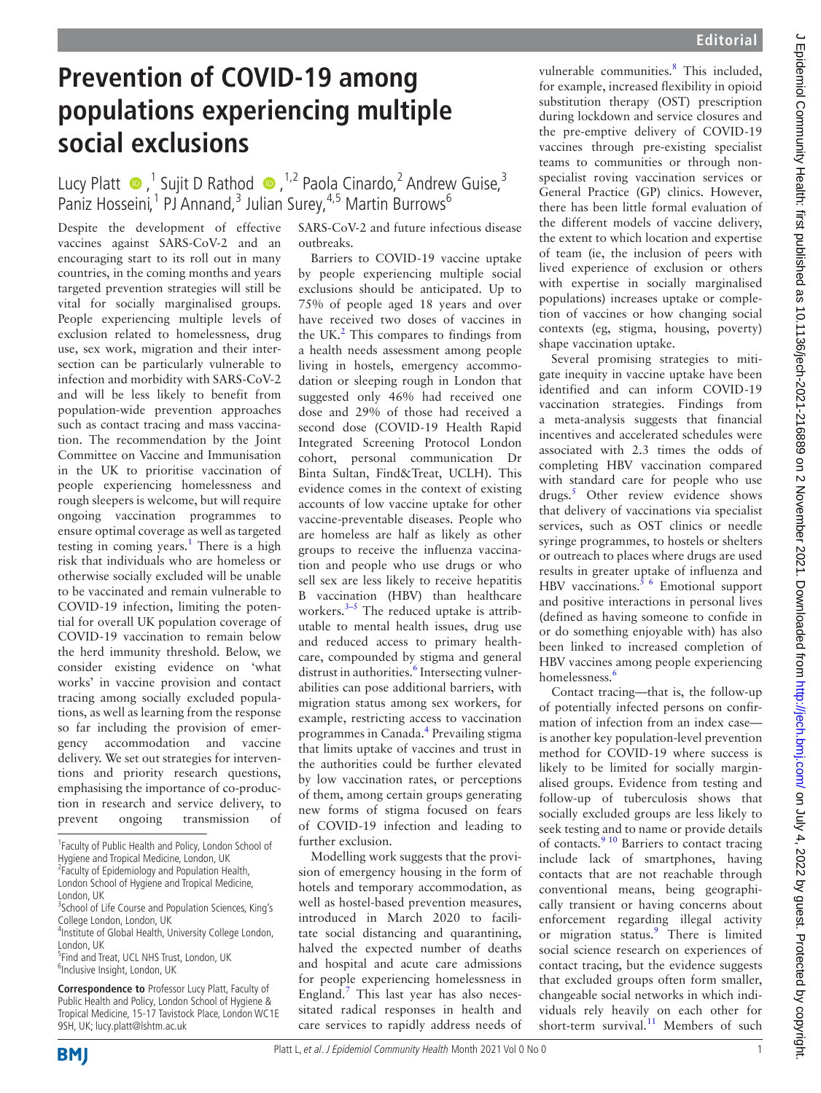## **Prevention of COVID-19 among populations experiencing multiple social exclusions**

## LucyPlatt  $\bullet$ , <sup>1</sup> Sujit D Rathod  $\bullet$ , <sup>1,2</sup> Paola Cinardo, <sup>2</sup> Andrew Guise, <sup>3</sup> Paniz Hosseini,<sup>1</sup> PJ Annand,<sup>3</sup> Julian Surey,<sup>4,5</sup> Martin Burrows<sup>6</sup>

Despite the development of effective vaccines against SARS-CoV-2 and an encouraging start to its roll out in many countries, in the coming months and years targeted prevention strategies will still be vital for socially marginalised groups. People experiencing multiple levels of exclusion related to homelessness, drug use, sex work, migration and their intersection can be particularly vulnerable to infection and morbidity with SARS-CoV-2 and will be less likely to benefit from population-wide prevention approaches such as contact tracing and mass vaccination. The recommendation by the Joint Committee on Vaccine and Immunisation in the UK to prioritise vaccination of people experiencing homelessness and rough sleepers is welcome, but will require ongoing vaccination programmes to ensure optimal coverage as well as targeted testing in coming years.<sup>1</sup> There is a high risk that individuals who are homeless or otherwise socially excluded will be unable to be vaccinated and remain vulnerable to COVID-19 infection, limiting the potential for overall UK population coverage of COVID-19 vaccination to remain below the herd immunity threshold. Below, we consider existing evidence on 'what works' in vaccine provision and contact tracing among socially excluded populations, as well as learning from the response so far including the provision of emergency accommodation and vaccine delivery. We set out strategies for interventions and priority research questions, emphasising the importance of co-production in research and service delivery, to prevent ongoing transmission of

**Correspondence to** Professor Lucy Platt, Faculty of Public Health and Policy, London School of Hygiene & Tropical Medicine, 15-17 Tavistock Place, London WC1E 9SH, UK; lucy.platt@lshtm.ac.uk

SARS-CoV-2 and future infectious disease outbreaks.

Barriers to COVID-19 vaccine uptake by people experiencing multiple social exclusions should be anticipated. Up to 75% of people aged 18 years and over have received two doses of vaccines in the UK. $<sup>2</sup>$  This compares to findings from</sup> a health needs assessment among people living in hostels, emergency accommodation or sleeping rough in London that suggested only 46% had received one dose and 29% of those had received a second dose (COVID-19 Health Rapid Integrated Screening Protocol London cohort, personal communication Dr Binta Sultan, Find&Treat, UCLH). This evidence comes in the context of existing accounts of low vaccine uptake for other vaccine-preventable diseases. People who are homeless are half as likely as other groups to receive the influenza vaccination and people who use drugs or who sell sex are less likely to receive hepatitis B vaccination (HBV) than healthcare workers. $3-5$  The reduced uptake is attributable to mental health issues, drug use and reduced access to primary healthcare, compounded by stigma and general distrust in authorities.<sup>[6](#page-1-3)</sup> Intersecting vulnerabilities can pose additional barriers, with migration status among sex workers, for example, restricting access to vaccination programmes in Canada[.4](#page-1-4) Prevailing stigma that limits uptake of vaccines and trust in the authorities could be further elevated by low vaccination rates, or perceptions of them, among certain groups generating new forms of stigma focused on fears of COVID-19 infection and leading to further exclusion.

Modelling work suggests that the provision of emergency housing in the form of hotels and temporary accommodation, as well as hostel-based prevention measures, introduced in March 2020 to facilitate social distancing and quarantining, halved the expected number of deaths and hospital and acute care admissions for people experiencing homelessness in England. $<sup>7</sup>$  $<sup>7</sup>$  $<sup>7</sup>$  This last year has also neces-</sup> sitated radical responses in health and care services to rapidly address needs of

vulnerable communities.<sup>[8](#page-1-6)</sup> This included, for example, increased flexibility in opioid substitution therapy (OST) prescription during lockdown and service closures and the pre-emptive delivery of COVID-19 vaccines through pre-existing specialist teams to communities or through nonspecialist roving vaccination services or General Practice (GP) clinics. However, there has been little formal evaluation of the different models of vaccine delivery, the extent to which location and expertise of team (ie, the inclusion of peers with lived experience of exclusion or others with expertise in socially marginalised populations) increases uptake or completion of vaccines or how changing social contexts (eg, stigma, housing, poverty) shape vaccination uptake.

Several promising strategies to mitigate inequity in vaccine uptake have been identified and can inform COVID-19 vaccination strategies. Findings from a meta-analysis suggests that financial incentives and accelerated schedules were associated with 2.3 times the odds of completing HBV vaccination compared with standard care for people who use drugs.<sup>[5](#page-1-7)</sup> Other review evidence shows that delivery of vaccinations via specialist services, such as OST clinics or needle syringe programmes, to hostels or shelters or outreach to places where drugs are used results in greater uptake of influenza and HBV vaccinations. $5/6$  Emotional support and positive interactions in personal lives (defined as having someone to confide in or do something enjoyable with) has also been linked to increased completion of HBV vaccines among people experiencing homelessness.<sup>[6](#page-1-3)</sup>

Contact tracing—that is, the follow-up of potentially infected persons on confirmation of infection from an index case is another key population-level prevention method for COVID-19 where success is likely to be limited for socially marginalised groups. Evidence from testing and follow-up of tuberculosis shows that socially excluded groups are less likely to seek testing and to name or provide details of contacts.<sup>[9 10](#page-1-8)</sup> Barriers to contact tracing include lack of smartphones, having contacts that are not reachable through conventional means, being geographically transient or having concerns about enforcement regarding illegal activity or migration status.<sup>[9](#page-1-8)</sup> There is limited social science research on experiences of contact tracing, but the evidence suggests that excluded groups often form smaller, changeable social networks in which individuals rely heavily on each other for short-term survival. $11$  Members of such

<sup>&</sup>lt;sup>1</sup> Faculty of Public Health and Policy, London School of Hygiene and Tropical Medicine, London, UK <sup>2</sup> Faculty of Epidemiology and Population Health,

London School of Hygiene and Tropical Medicine,

London, UK

<sup>&</sup>lt;sup>3</sup> School of Life Course and Population Sciences, King's College London, London, UK

<sup>&</sup>lt;sup>4</sup>Institute of Global Health, University College London, London, UK

<sup>&</sup>lt;sup>5</sup>Find and Treat, UCL NHS Trust, London, UK <sup>6</sup>Inclusive Insight, London, UK